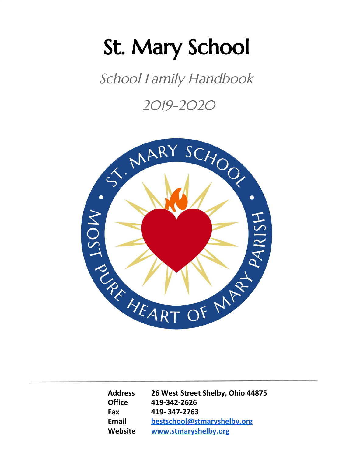# St. Mary School

School Family Handbook

2019-2020



**Address 26 West Street Shelby, Ohio 44875 Office 419-342-2626 Fax 419- 347-2763 Email [bestschool@stmaryshelby.org](mailto:bestschool@stmaryshelby.org) Website [www.stmaryshelby.org](http://www.stmaryshelby.org/)**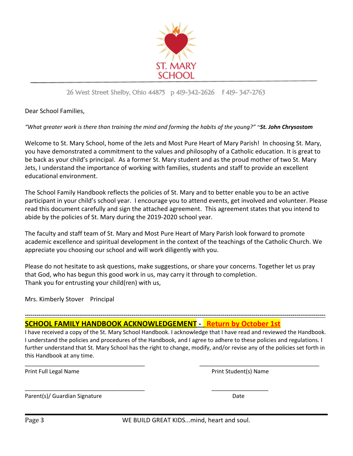

## 26 West Street Shelby, Ohio 44875 p 419-342-2626 f 419- 347-2763

Dear School Families,

"What greater work is there than training the mind and forming the habits of the young?" ~St. John Chrysostom

Welcome to St. Mary School, home of the Jets and Most Pure Heart of Mary Parish! In choosing St. Mary, you have demonstrated a commitment to the values and philosophy of a Catholic education. It is great to be back as your child's principal. As a former St. Mary student and as the proud mother of two St. Mary Jets, I understand the importance of working with families, students and staff to provide an excellent educational environment.

The School Family Handbook reflects the policies of St. Mary and to better enable you to be an active participant in your child's school year. I encourage you to attend events, get involved and volunteer. Please read this document carefully and sign the attached agreement. This agreement states that you intend to abide by the policies of St. Mary during the 2019-2020 school year.

The faculty and staff team of St. Mary and Most Pure Heart of Mary Parish look forward to promote academic excellence and spiritual development in the context of the teachings of the Catholic Church. We appreciate you choosing our school and will work diligently with you.

Please do not hesitate to ask questions, make suggestions, or share your concerns. Together let us pray that God, who has begun this good work in us, may carry it through to completion. Thank you for entrusting your child(ren) with us,

<span id="page-2-0"></span>Mrs. Kimberly Stover Principal

# **SCHOOL FAMILY HANDBOOK ACKNOWLEDGEMENT - Return by October 1st**

\_\_\_\_\_\_\_\_\_\_\_\_\_\_\_\_\_\_\_\_\_\_\_\_\_\_\_\_\_\_\_\_\_\_\_\_\_\_ \_\_\_\_\_\_\_\_\_\_\_\_\_\_\_\_\_\_

I have received a copy of the St. Mary School Handbook. I acknowledge that I have read and reviewed the Handbook. I understand the policies and procedures of the Handbook, and I agree to adhere to these policies and regulations. I further understand that St. Mary School has the right to change, modify, and/or revise any of the policies set forth in this Handbook at any time.

\_\_\_\_\_\_\_\_\_\_\_\_\_\_\_\_\_\_\_\_\_\_\_\_\_\_\_\_\_\_\_\_\_\_\_\_\_\_ \_\_\_\_\_\_\_\_\_\_\_\_\_\_\_\_\_\_\_\_\_\_\_\_\_\_\_\_\_\_\_\_\_\_\_\_\_\_

**-----------------------------------------------------------------------------------------------------------------------------------------------------------**

Print Full Legal Name **Print Student**(s) Name

Parent(s)/ Guardian Signature Date Date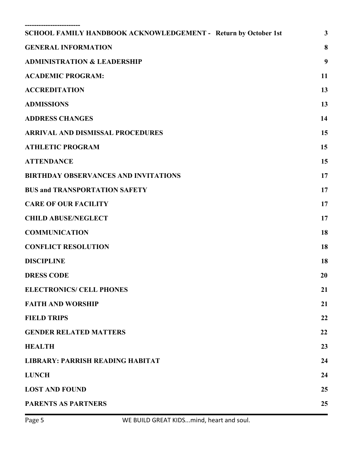| SCHOOL FAMILY HANDBOOK ACKNOWLEDGEMENT - Return by October 1st | $\mathbf{3}$ |
|----------------------------------------------------------------|--------------|
| <b>GENERAL INFORMATION</b>                                     | 8            |
| <b>ADMINISTRATION &amp; LEADERSHIP</b>                         | 9            |
| <b>ACADEMIC PROGRAM:</b>                                       | 11           |
| <b>ACCREDITATION</b>                                           | 13           |
| <b>ADMISSIONS</b>                                              | 13           |
| <b>ADDRESS CHANGES</b>                                         | 14           |
| <b>ARRIVAL AND DISMISSAL PROCEDURES</b>                        | 15           |
| <b>ATHLETIC PROGRAM</b>                                        | 15           |
| <b>ATTENDANCE</b>                                              | 15           |
| <b>BIRTHDAY OBSERVANCES AND INVITATIONS</b>                    | 17           |
| <b>BUS and TRANSPORTATION SAFETY</b>                           | 17           |
| <b>CARE OF OUR FACILITY</b>                                    | 17           |
| <b>CHILD ABUSE/NEGLECT</b>                                     | 17           |
| <b>COMMUNICATION</b>                                           | 18           |
| <b>CONFLICT RESOLUTION</b>                                     | 18           |
| <b>DISCIPLINE</b>                                              | 18           |
| <b>DRESS CODE</b>                                              | 20           |
| <b>ELECTRONICS/ CELL PHONES</b>                                | 21           |
| <b>FAITH AND WORSHIP</b>                                       | 21           |
| <b>FIELD TRIPS</b>                                             | 22           |
| <b>GENDER RELATED MATTERS</b>                                  | 22           |
| <b>HEALTH</b>                                                  | 23           |
| <b>LIBRARY: PARRISH READING HABITAT</b>                        | 24           |
| <b>LUNCH</b>                                                   | 24           |
| <b>LOST AND FOUND</b>                                          | 25           |
| <b>PARENTS AS PARTNERS</b>                                     | 25           |
|                                                                |              |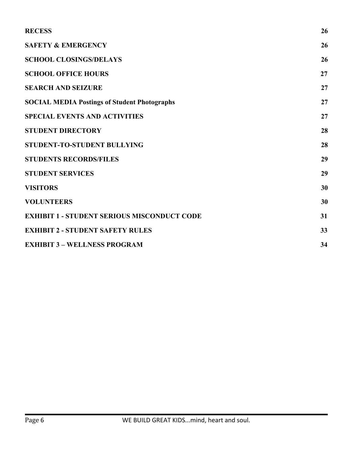| <b>RECESS</b>                                       | 26 |
|-----------------------------------------------------|----|
| <b>SAFETY &amp; EMERGENCY</b>                       | 26 |
| <b>SCHOOL CLOSINGS/DELAYS</b>                       | 26 |
| <b>SCHOOL OFFICE HOURS</b>                          | 27 |
| <b>SEARCH AND SEIZURE</b>                           | 27 |
| <b>SOCIAL MEDIA Postings of Student Photographs</b> | 27 |
| <b>SPECIAL EVENTS AND ACTIVITIES</b>                | 27 |
| <b>STUDENT DIRECTORY</b>                            | 28 |
| STUDENT-TO-STUDENT BULLYING                         | 28 |
| <b>STUDENTS RECORDS/FILES</b>                       | 29 |
| <b>STUDENT SERVICES</b>                             | 29 |
| <b>VISITORS</b>                                     | 30 |
| <b>VOLUNTEERS</b>                                   | 30 |
| <b>EXHIBIT 1 - STUDENT SERIOUS MISCONDUCT CODE</b>  | 31 |
| <b>EXHIBIT 2 - STUDENT SAFETY RULES</b>             | 33 |
| <b>EXHIBIT 3 - WELLNESS PROGRAM</b>                 | 34 |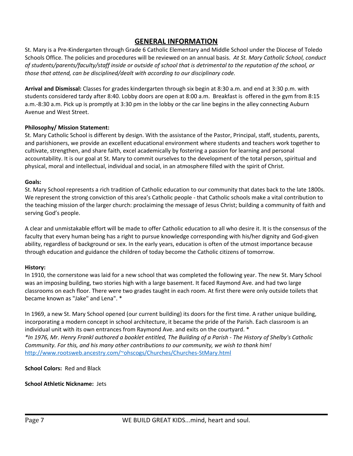# **GENERAL INFORMATION**

<span id="page-6-0"></span>St. Mary is a Pre-Kindergarten through Grade 6 Catholic Elementary and Middle School under the Diocese of Toledo Schools Office. The policies and procedures will be reviewed on an annual basis. *At St. Mary Catholic School, conduct* of students/parents/faculty/staff inside or outside of school that is detrimental to the reputation of the school, or *those that attend, can be disciplined/dealt with according to our disciplinary code.*

**Arrival and Dismissal:** Classes for grades kindergarten through six begin at 8:30 a.m. and end at 3:30 p.m. with students considered tardy after 8:40. Lobby doors are open at 8:00 a.m. Breakfast is offered in the gym from 8:15 a.m.-8:30 a.m. Pick up is promptly at 3:30 pm in the lobby or the car line begins in the alley connecting Auburn Avenue and West Street.

## **Philosophy/ Mission Statement:**

St. Mary Catholic School is different by design. With the assistance of the Pastor, Principal, staff, students, parents, and parishioners, we provide an excellent educational environment where students and teachers work together to cultivate, strengthen, and share faith, excel academically by fostering a passion for learning and personal accountability. It is our goal at St. Mary to commit ourselves to the development of the total person, spiritual and physical, moral and intellectual, individual and social, in an atmosphere filled with the spirit of Christ.

## **Goals:**

St. Mary School represents a rich tradition of Catholic education to our community that dates back to the late 1800s. We represent the strong conviction of this area's Catholic people - that Catholic schools make a vital contribution to the teaching mission of the larger church: proclaiming the message of Jesus Christ; building a community of faith and serving God's people.

A clear and unmistakable effort will be made to offer Catholic education to all who desire it. It is the consensus of the faculty that every human being has a right to pursue knowledge corresponding with his/her dignity and God-given ability, regardless of background or sex. In the early years, education is often of the utmost importance because through education and guidance the children of today become the Catholic citizens of tomorrow.

## **History:**

In 1910, the cornerstone was laid for a new school that was completed the following year. The new St. Mary School was an imposing building, two stories high with a large basement. It faced Raymond Ave. and had two large classrooms on each floor. There were two grades taught in each room. At first there were only outside toilets that became known as "Jake" and Lena". \*

In 1969, a new St. Mary School opened (our current building) its doors for the first time. A rather unique building, incorporating a modern concept in school architecture, it became the pride of the Parish. Each classroom is an individual unit with its own entrances from Raymond Ave. and exits on the courtyard. \* \*In 1976, Mr. Henry Frankl authored a booklet entitled, The Building of a Parish - The History of Shelby's Catholic *Community. For this, and his many other contributions to our community, we wish to thank him!* <http://www.rootsweb.ancestry.com/~ohscogs/Churches/Churches-StMary.html>

**School Colors:** Red and Black

## **School Athletic Nickname:** Jets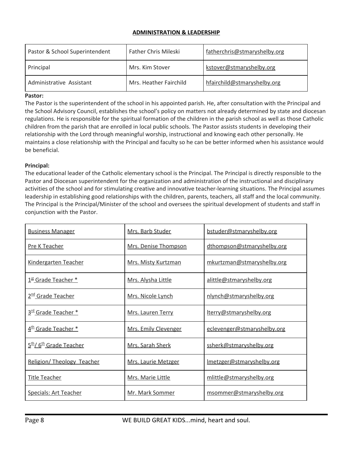## **ADMINISTRATION & LEADERSHIP**

<span id="page-7-0"></span>

| Pastor & School Superintendent | <b>Father Chris Mileski</b> | fatherchris@stmaryshelby.org |
|--------------------------------|-----------------------------|------------------------------|
| Principal                      | Mrs. Kim Stover             | kstover@stmaryshelby.org     |
| Administrative Assistant       | Mrs. Heather Fairchild      | hfairchild@stmaryshelby.org  |

#### **Pastor:**

The Pastor is the superintendent of the school in his appointed parish. He, after consultation with the Principal and the School Advisory Council, establishes the school's policy on matters not already determined by state and diocesan regulations. He is responsible for the spiritual formation of the children in the parish school as well as those Catholic children from the parish that are enrolled in local public schools. The Pastor assists students in developing their relationship with the Lord through meaningful worship, instructional and knowing each other personally. He maintains a close relationship with the Principal and faculty so he can be better informed when his assistance would be beneficial.

#### **Principal:**

The educational leader of the Catholic elementary school is the Principal. The Principal is directly responsible to the Pastor and Diocesan superintendent for the organization and administration of the instructional and disciplinary activities of the school and for stimulating creative and innovative teacher-learning situations. The Principal assumes leadership in establishing good relationships with the children, parents, teachers, all staff and the local community. The Principal is the Principal/Minister of the school and oversees the spiritual development of students and staff in conjunction with the Pastor.

| <b>Business Manager</b>                        | Mrs. Barb Studer     | bstuder@stmaryshelby.org    |
|------------------------------------------------|----------------------|-----------------------------|
| <b>Pre K Teacher</b>                           | Mrs. Denise Thompson | dthompson@stmaryshelby.org  |
| Kindergarten Teacher                           | Mrs. Misty Kurtzman  | mkurtzman@stmaryshelby.org  |
| $1st$ Grade Teacher $*$                        | Mrs. Alysha Little   | alittle@stmaryshelby.org    |
| 2 <sup>nd</sup> Grade Teacher                  | Mrs. Nicole Lynch    | nlynch@stmaryshelby.org     |
| 3 <sup>rd</sup> Grade Teacher *                | Mrs. Lauren Terry    | lterry@stmaryshelby.org     |
| 4 <sup>th</sup> Grade Teacher *                | Mrs. Emily Clevenger | eclevenger@stmaryshelby.org |
| 5 <sup>th</sup> /6 <sup>th</sup> Grade Teacher | Mrs. Sarah Sherk     | ssherk@stmaryshelby.org     |
| Religion/ Theology Teacher                     | Mrs. Laurie Metzger  | Imetzger@stmaryshelby.org   |
| <b>Title Teacher</b>                           | Mrs. Marie Little    | mlittle@stmaryshelby.org    |
| <b>Specials: Art Teacher</b>                   | Mr. Mark Sommer      | msommer@stmaryshelby.org    |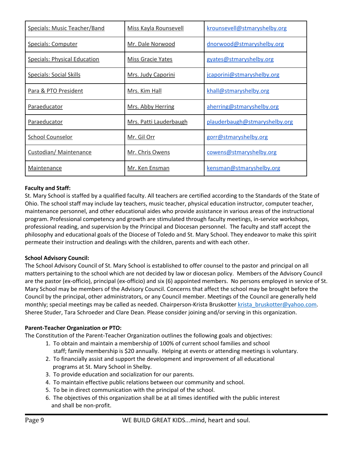| Specials: Music Teacher/Band        | Miss Kayla Rounsevell  | krounsevell@stmaryshelby.org  |
|-------------------------------------|------------------------|-------------------------------|
| <b>Specials: Computer</b>           | Mr. Dale Norwood       | dnorwood@stmaryshelby.org     |
| <b>Specials: Physical Education</b> | Miss Gracie Yates      | gyates@stmaryshelby.org       |
| <b>Specials: Social Skills</b>      | Mrs. Judy Caporini     | jcaporini@stmaryshelby.org    |
| Para & PTO President                | <u>Mrs. Kim Hall</u>   | khall@stmaryshelby.org        |
| <b>Paraeducator</b>                 | Mrs. Abby Herring      | aherring@stmaryshelby.org     |
| Paraeducator                        | Mrs. Patti Lauderbaugh | plauderbaugh@stmaryshelby.org |
| <b>School Counselor</b>             | Mr. Gil Orr            | gorr@stmaryshelby.org         |
| Custodian/ Maintenance              | Mr. Chris Owens        | cowens@stmaryshelby.org       |
| <b>Maintenance</b>                  | Mr. Ken Ensman         | kensman@stmaryshelby.org      |

## **Faculty and Staff:**

St. Mary School is staffed by a qualified faculty. All teachers are certified according to the Standards of the State of Ohio. The school staff may include lay teachers, music teacher, physical education instructor, computer teacher, maintenance personnel, and other educational aides who provide assistance in various areas of the instructional program. Professional competency and growth are stimulated through faculty meetings, in-service workshops, professional reading, and supervision by the Principal and Diocesan personnel. The faculty and staff accept the philosophy and educational goals of the Diocese of Toledo and St. Mary School. They endeavor to make this spirit permeate their instruction and dealings with the children, parents and with each other.

## **School Advisory Council:**

The School Advisory Council of St. Mary School is established to offer counsel to the pastor and principal on all matters pertaining to the school which are not decided by law or diocesan policy. Members of the Advisory Council are the pastor (ex-officio), principal (ex-officio) and six (6) appointed members. No persons employed in service of St. Mary School may be members of the Advisory Council. Concerns that affect the school may be brought before the Council by the principal, other administrators, or any Council member. Meetings of the Council are generally held monthly; special meetings may be called as needed. Chairperson-Krista Bruskotter krista bruskotter@yahoo.com. Sheree Studer, Tara Schroeder and Clare Dean. Please consider joining and/or serving in this organization.

## **Parent-Teacher Organization or PTO:**

The Constitution of the Parent-Teacher Organization outlines the following goals and objectives:

- 1. To obtain and maintain a membership of 100% of current school families and school staff; family membership is \$20 annually. Helping at events or attending meetings is voluntary.
- 2. To financially assist and support the development and improvement of all educational programs at St. Mary School in Shelby.
- 3. To provide education and socialization for our parents.
- 4. To maintain effective public relations between our community and school.
- 5. To be in direct communication with the principal of the school.
- 6. The objectives of this organization shall be at all times identified with the public interest and shall be non-profit.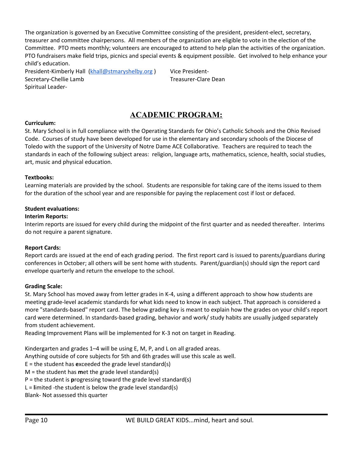The organization is governed by an Executive Committee consisting of the president, president-elect, secretary, treasurer and committee chairpersons. All members of the organization are eligible to vote in the election of the Committee. PTO meets monthly; volunteers are encouraged to attend to help plan the activities of the organization. PTO fundraisers make field trips, picnics and special events & equipment possible. Get involved to help enhance your child's education.

President-Kimberly Hall ([khall@stmaryshelby.org](mailto:khall@stmaryshelby.org)) Vice President-Secretary-Chellie Lamb Treasurer-Clare Dean Spiritual Leader-

# **ACADEMIC PROGRAM:**

## <span id="page-9-0"></span>**Curriculum:**

St. Mary School is in full compliance with the Operating Standards for Ohio's Catholic Schools and the Ohio Revised Code. Courses of study have been developed for use in the elementary and secondary schools of the Diocese of Toledo with the support of the University of Notre Dame ACE Collaborative. Teachers are required to teach the standards in each of the following subject areas: religion, language arts, mathematics, science, health, social studies, art, music and physical education.

## **Textbooks:**

Learning materials are provided by the school. Students are responsible for taking care of the items issued to them for the duration of the school year and are responsible for paying the replacement cost if lost or defaced.

## **Student evaluations:**

## **Interim Reports:**

Interim reports are issued for every child during the midpoint of the first quarter and as needed thereafter. Interims do not require a parent signature.

## **Report Cards:**

Report cards are issued at the end of each grading period. The first report card is issued to parents/guardians during conferences in October; all others will be sent home with students. Parent/guardian(s) should sign the report card envelope quarterly and return the envelope to the school.

## **Grading Scale:**

St. Mary School has moved away from letter grades in K-4, using a different approach to show how students are meeting grade-level academic standards for what kids need to know in each subject. That approach is considered a more "standards-based" report card. The below grading key is meant to explain how the grades on your child's report card were determined. In standards-based grading, behavior and work/ study habits are usually judged separately from student achievement.

Reading Improvement Plans will be implemented for K-3 not on target in Reading.

Kindergarten and grades 1–4 will be using E, M, P, and L on all graded areas.

Anything outside of core subjects for 5th and 6th grades will use this scale as well.

E = the student has **e**xceeded the grade level standard(s)

M = the student has **m**et the grade level standard(s)

P = the student is **p**rogressing toward the grade level standard(s)

L = **l**imited -the student is below the grade level standard(s)

Blank- Not assessed this quarter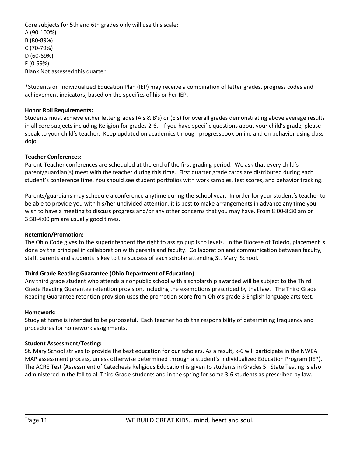Core subjects for 5th and 6th grades only will use this scale: A (90-100%) B (80-89%) C (70-79%) D (60-69%) F (0-59%) Blank Not assessed this quarter

\*Students on Individualized Education Plan (IEP) may receive a combination of letter grades, progress codes and achievement indicators, based on the specifics of his or her IEP.

#### **Honor Roll Requirements:**

Students must achieve either letter grades (A's & B's) or (E's) for overall grades demonstrating above average results in all core subjects including Religion for grades 2-6. If you have specific questions about your child's grade, please speak to your child's teacher. Keep updated on academics through progressbook online and on behavior using class dojo.

#### **Teacher Conferences:**

Parent-Teacher conferences are scheduled at the end of the first grading period. We ask that every child's parent/guardian(s) meet with the teacher during this time. First quarter grade cards are distributed during each student's conference time. You should see student portfolios with work samples, test scores, and behavior tracking.

Parents/guardians may schedule a conference anytime during the school year. In order for your student's teacher to be able to provide you with his/her undivided attention, it is best to make arrangements in advance any time you wish to have a meeting to discuss progress and/or any other concerns that you may have. From 8:00-8:30 am or 3:30-4:00 pm are usually good times.

#### **Retention/Promotion:**

The Ohio Code gives to the superintendent the right to assign pupils to levels. In the Diocese of Toledo, placement is done by the principal in collaboration with parents and faculty. Collaboration and communication between faculty, staff, parents and students is key to the success of each scholar attending St. Mary School.

## **Third Grade Reading Guarantee (Ohio Department of Education)**

Any third grade student who attends a nonpublic school with a scholarship awarded will be subject to the Third Grade Reading Guarantee retention provision, including the exemptions prescribed by that law. The Third Grade Reading Guarantee retention provision uses the promotion score from Ohio's grade 3 English language arts test.

#### **Homework:**

Study at home is intended to be purposeful. Each teacher holds the responsibility of determining frequency and procedures for homework assignments.

#### **Student Assessment/Testing:**

St. Mary School strives to provide the best education for our scholars. As a result, k-6 will participate in the NWEA MAP assessment process, unless otherwise determined through a student's Individualized Education Program (IEP). The ACRE Test (Assessment of Catechesis Religious Education) is given to students in Grades 5. State Testing is also administered in the fall to all Third Grade students and in the spring for some 3-6 students as prescribed by law.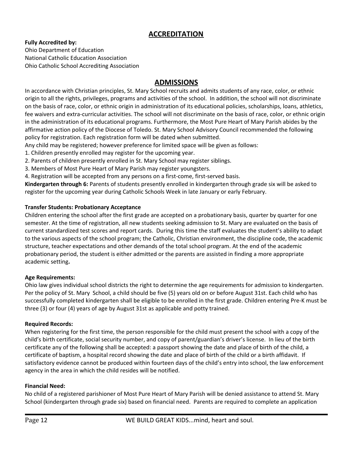# **ACCREDITATION**

## <span id="page-11-0"></span>**Fully Accredited by:**

Ohio Department of Education National Catholic Education Association Ohio Catholic School Accrediting Association

# **ADMISSIONS**

<span id="page-11-1"></span>In accordance with Christian principles, St. Mary School recruits and admits students of any race, color, or ethnic origin to all the rights, privileges, programs and activities of the school. In addition, the school will not discriminate on the basis of race, color, or ethnic origin in administration of its educational policies, scholarships, loans, athletics, fee waivers and extra-curricular activities. The school will not discriminate on the basis of race, color, or ethnic origin in the administration of its educational programs. Furthermore, the Most Pure Heart of Mary Parish abides by the affirmative action policy of the Diocese of Toledo. St. Mary School Advisory Council recommended the following policy for registration. Each registration form will be dated when submitted.

Any child may be registered; however preference for limited space will be given as follows:

- 1. Children presently enrolled may register for the upcoming year.
- 2. Parents of children presently enrolled in St. Mary School may register siblings.
- 3. Members of Most Pure Heart of Mary Parish may register youngsters.
- 4. Registration will be accepted from any persons on a first-come, first-served basis.

**Kindergarten through 6:** Parents of students presently enrolled in kindergarten through grade six will be asked to register for the upcoming year during Catholic Schools Week in late January or early February.

## **Transfer Students: Probationary Acceptance**

Children entering the school after the first grade are accepted on a probationary basis, quarter by quarter for one semester. At the time of registration, all new students seeking admission to St. Mary are evaluated on the basis of current standardized test scores and report cards. During this time the staff evaluates the student's ability to adapt to the various aspects of the school program; the Catholic, Christian environment, the discipline code, the academic structure, teacher expectations and other demands of the total school program. At the end of the academic probationary period, the student is either admitted or the parents are assisted in finding a more appropriate academic setting**.**

## **Age Requirements:**

Ohio law gives individual school districts the right to determine the age requirements for admission to kindergarten. Per the policy of St. Mary School, a child should be five (5) years old on or before August 31st. Each child who has successfully completed kindergarten shall be eligible to be enrolled in the first grade. Children entering Pre-K must be three (3) or four (4) years of age by August 31st as applicable and potty trained.

## **Required Records:**

When registering for the first time, the person responsible for the child must present the school with a copy of the child's birth certificate, social security number, and copy of parent/guardian's driver's license. In lieu of the birth certificate any of the following shall be accepted: a passport showing the date and place of birth of the child, a certificate of baptism, a hospital record showing the date and place of birth of the child or a birth affidavit. If satisfactory evidence cannot be produced within fourteen days of the child's entry into school, the law enforcement agency in the area in which the child resides will be notified.

## **Financial Need:**

No child of a registered parishioner of Most Pure Heart of Mary Parish will be denied assistance to attend St. Mary School (kindergarten through grade six) based on financial need. Parents are required to complete an application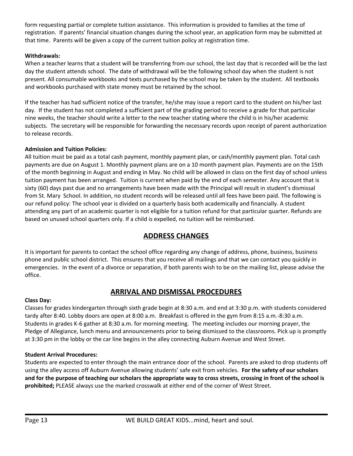form requesting partial or complete tuition assistance. This information is provided to families at the time of registration. If parents' financial situation changes during the school year, an application form may be submitted at that time. Parents will be given a copy of the current tuition policy at registration time.

## **Withdrawals:**

When a teacher learns that a student will be transferring from our school, the last day that is recorded will be the last day the student attends school. The date of withdrawal will be the following school day when the student is not present. All consumable workbooks and texts purchased by the school may be taken by the student. All textbooks and workbooks purchased with state money must be retained by the school.

If the teacher has had sufficient notice of the transfer, he/she may issue a report card to the student on his/her last day. If the student has not completed a sufficient part of the grading period to receive a grade for that particular nine weeks, the teacher should write a letter to the new teacher stating where the child is in his/her academic subjects. The secretary will be responsible for forwarding the necessary records upon receipt of parent authorization to release records.

## **Admission and Tuition Policies:**

All tuition must be paid as a total cash payment, monthly payment plan, or cash/monthly payment plan. Total cash payments are due on August 1. Monthly payment plans are on a 10 month payment plan. Payments are on the 15th of the month beginning in August and ending in May. No child will be allowed in class on the first day of school unless tuition payment has been arranged. Tuition is current when paid by the end of each semester. Any account that is sixty (60) days past due and no arrangements have been made with the Principal will result in student's dismissal from St. Mary School. In addition, no student records will be released until all fees have been paid. The following is our refund policy: The school year is divided on a quarterly basis both academically and financially. A student attending any part of an academic quarter is not eligible for a tuition refund for that particular quarter. Refunds are based on unused school quarters only. If a child is expelled, no tuition will be reimbursed.

# **ADDRESS CHANGES**

<span id="page-12-0"></span>It is important for parents to contact the school office regarding any change of address, phone, business, business phone and public school district. This ensures that you receive all mailings and that we can contact you quickly in emergencies. In the event of a divorce or separation, if both parents wish to be on the mailing list, please advise the office.

# **ARRIVAL AND DISMISSAL PROCEDURES**

## <span id="page-12-1"></span>**Class Day:**

Classes for grades kindergarten through sixth grade begin at 8:30 a.m. and end at 3:30 p.m. with students considered tardy after 8:40. Lobby doors are open at 8:00 a.m. Breakfast is offered in the gym from 8:15 a.m.-8:30 a.m. Students in grades K-6 gather at 8:30 a.m. for morning meeting. The meeting includes our morning prayer, the Pledge of Allegiance, lunch menu and announcements prior to being dismissed to the classrooms. Pick up is promptly at 3:30 pm in the lobby or the car line begins in the alley connecting Auburn Avenue and West Street.

## **Student Arrival Procedures:**

Students are expected to enter through the main entrance door of the school. Parents are asked to drop students off using the alley access off Auburn Avenue allowing students' safe exit from vehicles. **For the safety of our scholars** and for the purpose of teaching our scholars the appropriate way to cross streets, crossing in front of the school is **prohibited;** PLEASE always use the marked crosswalk at either end of the corner of West Street.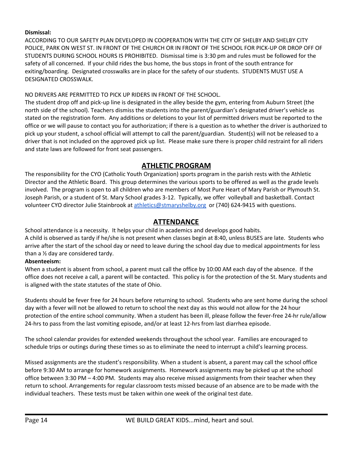## **Dismissal:**

ACCORDING TO OUR SAFETY PLAN DEVELOPED IN COOPERATION WITH THE CITY OF SHELBY AND SHELBY CITY POLICE, PARK ON WEST ST. IN FRONT OF THE CHURCH OR IN FRONT OF THE SCHOOL FOR PICK-UP OR DROP OFF OF STUDENTS DURING SCHOOL HOURS IS PROHIBITED. Dismissal time is 3:30 pm and rules must be followed for the safety of all concerned. If your child rides the bus home, the bus stops in front of the south entrance for exiting/boarding. Designated crosswalks are in place for the safety of our students. STUDENTS MUST USE A DESIGNATED CROSSWALK.

## NO DRIVERS ARE PERMITTED TO PICK UP RIDERS IN FRONT OF THE SCHOOL.

The student drop off and pick-up line is designated in the alley beside the gym, entering from Auburn Street (the north side of the school). Teachers dismiss the students into the parent/guardian's designated driver's vehicle as stated on the registration form. Any additions or deletions to your list of permitted drivers must be reported to the office or we will pause to contact you for authorization; if there is a question as to whether the driver is authorized to pick up your student, a school official will attempt to call the parent/guardian. Student(s) will not be released to a driver that is not included on the approved pick up list. Please make sure there is proper child restraint for all riders and state laws are followed for front seat passengers.

# **ATHLETIC PROGRAM**

<span id="page-13-0"></span>The responsibility for the CYO (Catholic Youth Organization) sports program in the parish rests with the Athletic Director and the Athletic Board. This group determines the various sports to be offered as well as the grade levels involved. The program is open to all children who are members of Most Pure Heart of Mary Parish or Plymouth St. Joseph Parish, or a student of St. Mary School grades 3-12. Typically, we offer volleyball and basketball. Contact volunteer CYO director Julie Stainbrook at [athletics@stmaryshelby.org](mailto:athletics@stmaryshelby.org) or (740) 624-9415 with questions.

# **ATTENDANCE**

<span id="page-13-1"></span>School attendance is a necessity. It helps your child in academics and develops good habits. A child is observed as tardy if he/she is not present when classes begin at 8:40, unless BUSES are late. Students who arrive after the start of the school day or need to leave during the school day due to medical appointments for less than a ½ day are considered tardy.

## **Absenteeism:**

When a student is absent from school, a parent must call the office by 10:00 AM each day of the absence. If the office does not receive a call, a parent will be contacted. This policy is for the protection of the St. Mary students and is aligned with the state statutes of the state of Ohio.

Students should be fever free for 24 hours before returning to school. Students who are sent home during the school day with a fever will not be allowed to return to school the next day as this would not allow for the 24 hour protection of the entire school community. When a student has been ill, please follow the fever-free 24-hr rule/allow 24-hrs to pass from the last vomiting episode, and/or at least 12-hrs from last diarrhea episode.

The school calendar provides for extended weekends throughout the school year. Families are encouraged to schedule trips or outings during these times so as to eliminate the need to interrupt a child's learning process.

Missed assignments are the student's responsibility. When a student is absent, a parent may call the school office before 9:30 AM to arrange for homework assignments. Homework assignments may be picked up at the school office between 3:30 PM – 4:00 PM. Students may also receive missed assignments from their teacher when they return to school. Arrangements for regular classroom tests missed because of an absence are to be made with the individual teachers. These tests must be taken within one week of the original test date.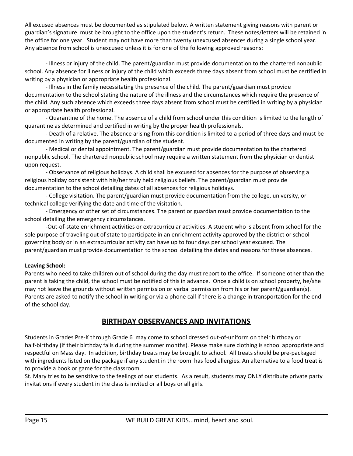All excused absences must be documented as stipulated below. A written statement giving reasons with parent or guardian's signature must be brought to the office upon the student's return. These notes/letters will be retained in the office for one year. Student may not have more than twenty unexcused absences during a single school year. Any absence from school is unexcused unless it is for one of the following approved reasons:

- Illness or injury of the child. The parent/guardian must provide documentation to the chartered nonpublic school. Any absence for illness or injury of the child which exceeds three days absent from school must be certified in writing by a physician or appropriate health professional.

- Illness in the family necessitating the presence of the child. The parent/guardian must provide documentation to the school stating the nature of the illness and the circumstances which require the presence of the child. Any such absence which exceeds three days absent from school must be certified in writing by a physician or appropriate health professional.

- Quarantine of the home. The absence of a child from school under this condition is limited to the length of quarantine as determined and certified in writing by the proper health professionals.

- Death of a relative. The absence arising from this condition is limited to a period of three days and must be documented in writing by the parent/guardian of the student.

- Medical or dental appointment. The parent/guardian must provide documentation to the chartered nonpublic school. The chartered nonpublic school may require a written statement from the physician or dentist upon request.

- Observance of religious holidays. A child shall be excused for absences for the purpose of observing a religious holiday consistent with his/her truly held religious beliefs. The parent/guardian must provide documentation to the school detailing dates of all absences for religious holidays.

- College visitation. The parent/guardian must provide documentation from the college, university, or technical college verifying the date and time of the visitation.

- Emergency or other set of circumstances. The parent or guardian must provide documentation to the school detailing the emergency circumstances.

-Out-of-state enrichment activities or extracurricular activities. A student who is absent from school for the sole purpose of traveling out of state to participate in an enrichment activity approved by the district or school governing body or in an extracurricular activity can have up to four days per school year excused. The parent/guardian must provide documentation to the school detailing the dates and reasons for these absences.

## **Leaving School:**

Parents who need to take children out of school during the day must report to the office. If someone other than the parent is taking the child, the school must be notified of this in advance. Once a child is on school property, he/she may not leave the grounds without written permission or verbal permission from his or her parent/guardian(s). Parents are asked to notify the school in writing or via a phone call if there is a change in transportation for the end of the school day.

# **BIRTHDAY OBSERVANCES AND INVITATIONS**

<span id="page-14-0"></span>Students in Grades Pre-K through Grade 6 may come to school dressed out-of-uniform on their birthday or half-birthday (if their birthday falls during the summer months). Please make sure clothing is school appropriate and respectful on Mass day. In addition, birthday treats may be brought to school. All treats should be pre-packaged with ingredients listed on the package if any student in the room has food allergies. An alternative to a food treat is to provide a book or game for the classroom.

St. Mary tries to be sensitive to the feelings of our students. As a result, students may ONLY distribute private party invitations if every student in the class is invited or all boys or all girls.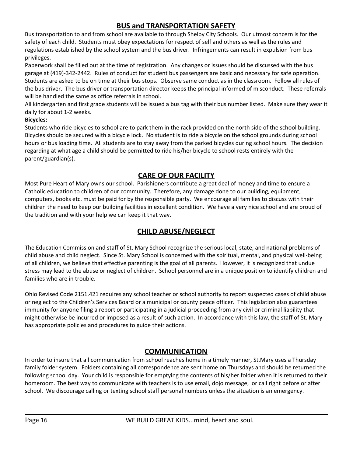# **BUS and TRANSPORTATION SAFETY**

<span id="page-15-0"></span>Bus transportation to and from school are available to through Shelby City Schools. Our utmost concern is for the safety of each child. Students must obey expectations for respect of self and others as well as the rules and regulations established by the school system and the bus driver. Infringements can result in expulsion from bus privileges.

Paperwork shall be filled out at the time of registration. Any changes or issues should be discussed with the bus garage at (419)-342-2442. Rules of conduct for student bus passengers are basic and necessary for safe operation. Students are asked to be on time at their bus stops. Observe same conduct as in the classroom. Follow all rules of the bus driver. The bus driver or transportation director keeps the principal informed of misconduct. These referrals will be handled the same as office referrals in school.

All kindergarten and first grade students will be issued a bus tag with their bus number listed. Make sure they wear it daily for about 1-2 weeks.

## **Bicycles:**

Students who ride bicycles to school are to park them in the rack provided on the north side of the school building. Bicycles should be secured with a bicycle lock. No student is to ride a bicycle on the school grounds during school hours or bus loading time. All students are to stay away from the parked bicycles during school hours. The decision regarding at what age a child should be permitted to ride his/her bicycle to school rests entirely with the parent/guardian(s).

# **CARE OF OUR FACILITY**

<span id="page-15-1"></span>Most Pure Heart of Mary owns our school. Parishioners contribute a great deal of money and time to ensure a Catholic education to children of our community. Therefore, any damage done to our building, equipment, computers, books etc. must be paid for by the responsible party. We encourage all families to discuss with their children the need to keep our building facilities in excellent condition. We have a very nice school and are proud of the tradition and with your help we can keep it that way.

# **CHILD ABUSE/NEGLECT**

<span id="page-15-2"></span>The Education Commission and staff of St. Mary School recognize the serious local, state, and national problems of child abuse and child neglect. Since St. Mary School is concerned with the spiritual, mental, and physical well-being of all children, we believe that effective parenting is the goal of all parents. However, it is recognized that undue stress may lead to the abuse or neglect of children. School personnel are in a unique position to identify children and families who are in trouble.

Ohio Revised Code 2151.421 requires any school teacher or school authority to report suspected cases of child abuse or neglect to the Children's Services Board or a municipal or county peace officer. This legislation also guarantees immunity for anyone filing a report or participating in a judicial proceeding from any civil or criminal liability that might otherwise be incurred or imposed as a result of such action. In accordance with this law, the staff of St. Mary has appropriate policies and procedures to guide their actions.

# **COMMUNICATION**

<span id="page-15-3"></span>In order to insure that all communication from school reaches home in a timely manner, St.Mary uses a Thursday family folder system. Folders containing all correspondence are sent home on Thursdays and should be returned the following school day. Your child is responsible for emptying the contents of his/her folder when it is returned to their homeroom. The best way to communicate with teachers is to use email, dojo message, or call right before or after school. We discourage calling or texting school staff personal numbers unless the situation is an emergency.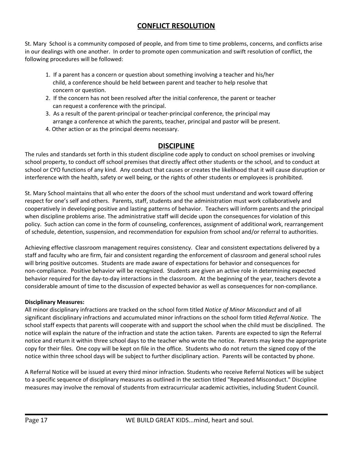# **CONFLICT RESOLUTION**

<span id="page-16-0"></span>St. Mary School is a community composed of people, and from time to time problems, concerns, and conflicts arise in our dealings with one another. In order to promote open communication and swift resolution of conflict, the following procedures will be followed:

- 1. If a parent has a concern or question about something involving a teacher and his/her child, a conference should be held between parent and teacher to help resolve that concern or question.
- 2. If the concern has not been resolved after the initial conference, the parent or teacher can request a conference with the principal.
- 3. As a result of the parent-principal or teacher-principal conference, the principal may arrange a conference at which the parents, teacher, principal and pastor will be present.
- 4. Other action or as the principal deems necessary.

# **DISCIPLINE**

<span id="page-16-1"></span>The rules and standards set forth in this student discipline code apply to conduct on school premises or involving school property, to conduct off school premises that directly affect other students or the school, and to conduct at school or CYO functions of any kind. Any conduct that causes or creates the likelihood that it will cause disruption or interference with the health, safety or well being, or the rights of other students or employees is prohibited.

St. Mary School maintains that all who enter the doors of the school must understand and work toward offering respect for one's self and others. Parents, staff, students and the administration must work collaboratively and cooperatively in developing positive and lasting patterns of behavior. Teachers will inform parents and the principal when discipline problems arise. The administrative staff will decide upon the consequences for violation of this policy. Such action can come in the form of counseling, conferences, assignment of additional work, rearrangement of schedule, detention, suspension, and recommendation for expulsion from school and/or referral to authorities.

Achieving effective classroom management requires consistency. Clear and consistent expectations delivered by a staff and faculty who are firm, fair and consistent regarding the enforcement of classroom and general school rules will bring positive outcomes. Students are made aware of expectations for behavior and consequences for non-compliance. Positive behavior will be recognized. Students are given an active role in determining expected behavior required for the day-to-day interactions in the classroom. At the beginning of the year, teachers devote a considerable amount of time to the discussion of expected behavior as well as consequences for non-compliance.

## **Disciplinary Measures:**

All minor disciplinary infractions are tracked on the school form titled *Notice of Minor Misconduct* and of all significant disciplinary infractions and accumulated minor infractions on the school form titled *Referral Notice*. The school staff expects that parents will cooperate with and support the school when the child must be disciplined. The notice will explain the nature of the infraction and state the action taken. Parents are expected to sign the Referral notice and return it within three school days to the teacher who wrote the notice. Parents may keep the appropriate copy for their files. One copy will be kept on file in the office. Students who do not return the signed copy of the notice within three school days will be subject to further disciplinary action. Parents will be contacted by phone.

A Referral Notice will be issued at every third minor infraction. Students who receive Referral Notices will be subject to a specific sequence of disciplinary measures as outlined in the section titled "Repeated Misconduct." Discipline measures may involve the removal of students from extracurricular academic activities, including Student Council.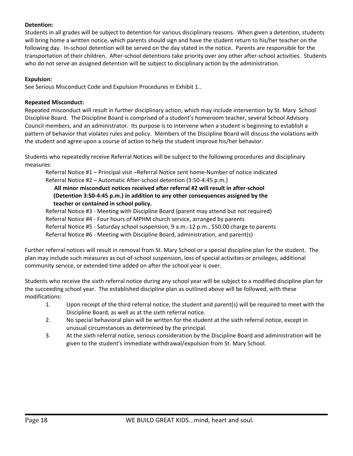## **Detention:**

Students in all grades will be subject to detention for various disciplinary reasons. When given a detention, students will bring home a written notice, which parents should sign and have the student return to his/her teacher on the following day. In-school detention will be served on the day stated in the notice. Parents are responsible for the transportation of their children. After-school detentions take priority over any other after-school activities. Students who do not serve an assigned detention will be subject to disciplinary action by the administration.

## **Expulsion:**

See Serious Misconduct Code and Expulsion Procedures in Exhibit 1..

## **Repeated Misconduct:**

Repeated misconduct will result in further disciplinary action, which may include intervention by St. Mary School Discipline Board. The Discipline Board is comprised of a student's homeroom teacher, several School Advisory Council members, and an administrator. Its purpose is to intervene when a student is beginning to establish a pattern of behavior that violates rules and policy. Members of the Discipline Board will discuss the violations with the student and agree upon a course of action to help the student improve his/her behavior.

Students who repeatedly receive Referral Notices will be subject to the following procedures and disciplinary measures:

Referral Notice #1 – Principal visit –Referral Notice sent home-Number of notice indicated Referral Notice #2 – Automatic After-school detention (3:50-4:45 p.m.)

**All minor misconduct notices received after referral #2 will result in after-school (Detention 3:50-4:45 p.m.) in addition to any other consequences assigned by the teacher or contained in school policy.**

Referral Notice #3 - Meeting with Discipline Board (parent may attend but not required) Referral Notice #4 - Four hours of MPHM church service, arranged by parents Referral Notice #5 - Saturday school suspension, 9 a.m.-12 p.m., \$50.00 charge to parents Referral Notice #6 - Meeting with Discipline Board, administration, and parent(s)

Further referral notices will result in removal from St. Mary School or a special discipline plan for the student. The plan may include such measures as out-of-school suspension, loss of special activities or privileges, additional community service, or extended time added on after the school year is over.

Students who receive the sixth referral notice during any school year will be subject to a modified discipline plan for the succeeding school year. The established discipline plan as outlined above will be followed, with these modifications:

- 1. Upon receipt of the third referral notice, the student and parent(s) will be required to meet with the Discipline Board, as well as at the sixth referral notice.
- 2. No special behavioral plan will be written for the student at the sixth referral notice, except in unusual circumstances as determined by the principal.
- 3. At the sixth referral notice, serious consideration by the Discipline Board and administration will be given to the student's immediate withdrawal/expulsion from St. Mary School.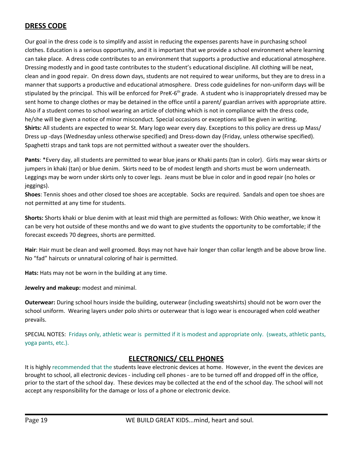# <span id="page-18-0"></span>**DRESS CODE**

Our goal in the dress code is to simplify and assist in reducing the expenses parents have in purchasing school clothes. Education is a serious opportunity, and it is important that we provide a school environment where learning can take place. A dress code contributes to an environment that supports a productive and educational atmosphere. Dressing modestly and in good taste contributes to the student's educational discipline. All clothing will be neat, clean and in good repair. On dress down days, students are not required to wear uniforms, but they are to dress in a manner that supports a productive and educational atmosphere. Dress code guidelines for non-uniform days will be stipulated by the principal. This will be enforced for PreK-6<sup>th</sup> grade. A student who is inappropriately dressed may be sent home to change clothes or may be detained in the office until a parent/ guardian arrives with appropriate attire. Also if a student comes to school wearing an article of clothing which is not in compliance with the dress code, he/she will be given a notice of minor misconduct. Special occasions or exceptions will be given in writing. **Shirts:** All students are expected to wear St. Mary logo wear every day. Exceptions to this policy are dress up Mass/ Dress up -days (Wednesday unless otherwise specified) and Dress-down day (Friday, unless otherwise specified). Spaghetti straps and tank tops are not permitted without a sweater over the shoulders.

**Pants**: \*Every day, all students are permitted to wear blue jeans or Khaki pants (tan in color). Girls may wear skirts or jumpers in khaki (tan) or blue denim. Skirts need to be of modest length and shorts must be worn underneath. Leggings may be worn under skirts only to cover legs. Jeans must be blue in color and in good repair (no holes or jeggings).

**Shoes**: Tennis shoes and other closed toe shoes are acceptable. Socks are required. Sandals and open toe shoes are not permitted at any time for students.

**Shorts:** Shorts khaki or blue denim with at least mid thigh are permitted as follows: With Ohio weather, we know it can be very hot outside of these months and we do want to give students the opportunity to be comfortable; if the forecast exceeds 70 degrees, shorts are permitted.

**Hair**: Hair must be clean and well groomed. Boys may not have hair longer than collar length and be above brow line. No "fad" haircuts or unnatural coloring of hair is permitted.

**Hats:** Hats may not be worn in the building at any time.

**Jewelry and makeup:** modest and minimal.

**Outerwear:** During school hours inside the building, outerwear (including sweatshirts) should not be worn over the school uniform. Wearing layers under polo shirts or outerwear that is logo wear is encouraged when cold weather prevails.

SPECIAL NOTES: Fridays only, athletic wear is permitted if it is modest and appropriate only. (sweats, athletic pants, yoga pants, etc.).

# **ELECTRONICS/ CELL PHONES**

<span id="page-18-1"></span>It is highly recommended that the students leave electronic devices at home. However, in the event the devices are brought to school, all electronic devices - including cell phones - are to be turned off and dropped off in the office, prior to the start of the school day. These devices may be collected at the end of the school day. The school will not accept any responsibility for the damage or loss of a phone or electronic device.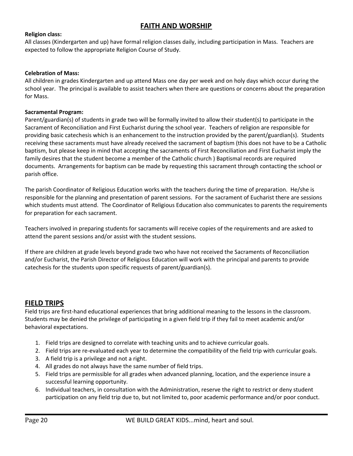# **FAITH AND WORSHIP**

## <span id="page-19-0"></span>**Religion class:**

All classes (Kindergarten and up) have formal religion classes daily, including participation in Mass. Teachers are expected to follow the appropriate Religion Course of Study.

#### **Celebration of Mass:**

All children in grades Kindergarten and up attend Mass one day per week and on holy days which occur during the school year. The principal is available to assist teachers when there are questions or concerns about the preparation for Mass.

#### **Sacramental Program:**

Parent/guardian(s) of students in grade two will be formally invited to allow their student(s) to participate in the Sacrament of Reconciliation and First Eucharist during the school year. Teachers of religion are responsible for providing basic catechesis which is an enhancement to the instruction provided by the parent/guardian(s). Students receiving these sacraments must have already received the sacrament of baptism (this does not have to be a Catholic baptism, but please keep in mind that accepting the sacraments of First Reconciliation and First Eucharist imply the family desires that the student become a member of the Catholic church ) Baptismal records are required documents. Arrangements for baptism can be made by requesting this sacrament through contacting the school or parish office.

The parish Coordinator of Religious Education works with the teachers during the time of preparation. He/she is responsible for the planning and presentation of parent sessions. For the sacrament of Eucharist there are sessions which students must attend. The Coordinator of Religious Education also communicates to parents the requirements for preparation for each sacrament.

Teachers involved in preparing students for sacraments will receive copies of the requirements and are asked to attend the parent sessions and/or assist with the student sessions.

If there are children at grade levels beyond grade two who have not received the Sacraments of Reconciliation and/or Eucharist, the Parish Director of Religious Education will work with the principal and parents to provide catechesis for the students upon specific requests of parent/guardian(s).

## <span id="page-19-1"></span>**FIELD TRIPS**

Field trips are first-hand educational experiences that bring additional meaning to the lessons in the classroom. Students may be denied the privilege of participating in a given field trip if they fail to meet academic and/or behavioral expectations.

- 1. Field trips are designed to correlate with teaching units and to achieve curricular goals.
- 2. Field trips are re-evaluated each year to determine the compatibility of the field trip with curricular goals.
- 3. A field trip is a privilege and not a right.
- 4. All grades do not always have the same number of field trips.
- 5. Field trips are permissible for all grades when advanced planning, location, and the experience insure a successful learning opportunity.
- 6. Individual teachers, in consultation with the Administration, reserve the right to restrict or deny student participation on any field trip due to, but not limited to, poor academic performance and/or poor conduct.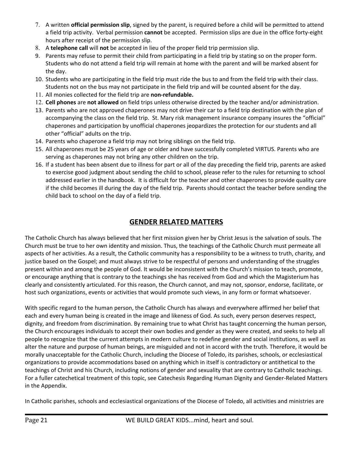- 7. A written **official permission slip**, signed by the parent, is required before a child will be permitted to attend a field trip activity. Verbal permission **cannot** be accepted. Permission slips are due in the office forty-eight hours after receipt of the permission slip.
- 8. A **telephone call** will **not** be accepted in lieu of the proper field trip permission slip.
- 9. Parents may refuse to permit their child from participating in a field trip by stating so on the proper form. Students who do not attend a field trip will remain at home with the parent and will be marked absent for the day.
- 10. Students who are participating in the field trip must ride the bus to and from the field trip with their class. Students not on the bus may not participate in the field trip and will be counted absent for the day.
- 11. All monies collected for the field trip are **non-refundable.**
- 12. **Cell phones** are **not allowed** on field trips unless otherwise directed by the teacher and/or administration.
- 13. Parents who are not approved chaperones may not drive their car to a field trip destination with the plan of accompanying the class on the field trip. St. Mary risk management insurance company insures the "official" chaperones and participation by unofficial chaperones jeopardizes the protection for our students and all other "official" adults on the trip.
- 14. Parents who chaperone a field trip may not bring siblings on the field trip.
- 15. All chaperones must be 25 years of age or older and have successfully completed VIRTUS. Parents who are serving as chaperones may not bring any other children on the trip.
- 16. If a student has been absent due to illness for part or all of the day preceding the field trip, parents are asked to exercise good judgment about sending the child to school, please refer to the rules for returning to school addressed earlier in the handbook. It is difficult for the teacher and other chaperones to provide quality care if the child becomes ill during the day of the field trip. Parents should contact the teacher before sending the child back to school on the day of a field trip.

# **GENDER RELATED MATTERS**

<span id="page-20-0"></span>The Catholic Church has always believed that her first mission given her by Christ Jesus is the salvation of souls. The Church must be true to her own identity and mission. Thus, the teachings of the Catholic Church must permeate all aspects of her activities. As a result, the Catholic community has a responsibility to be a witness to truth, charity, and justice based on the Gospel; and must always strive to be respectful of persons and understanding of the struggles present within and among the people of God. It would be inconsistent with the Church's mission to teach, promote, or encourage anything that is contrary to the teachings she has received from God and which the Magisterium has clearly and consistently articulated. For this reason, the Church cannot, and may not, sponsor, endorse, facilitate, or host such organizations, events or activities that would promote such views, in any form or format whatsoever.

With specific regard to the human person, the Catholic Church has always and everywhere affirmed her belief that each and every human being is created in the image and likeness of God. As such, every person deserves respect, dignity, and freedom from discrimination. By remaining true to what Christ has taught concerning the human person, the Church encourages individuals to accept their own bodies and gender as they were created, and seeks to help all people to recognize that the current attempts in modern culture to redefine gender and social institutions, as well as alter the nature and purpose of human beings, are misguided and not in accord with the truth. Therefore, it would be morally unacceptable for the Catholic Church, including the Diocese of Toledo, its parishes, schools, or ecclesiastical organizations to provide accommodations based on anything which in itself is contradictory or antithetical to the teachings of Christ and his Church, including notions of gender and sexuality that are contrary to Catholic teachings. For a fuller catechetical treatment of this topic, see Catechesis Regarding Human Dignity and Gender-Related Matters in the Appendix.

In Catholic parishes, schools and ecclesiastical organizations of the Diocese of Toledo, all activities and ministries are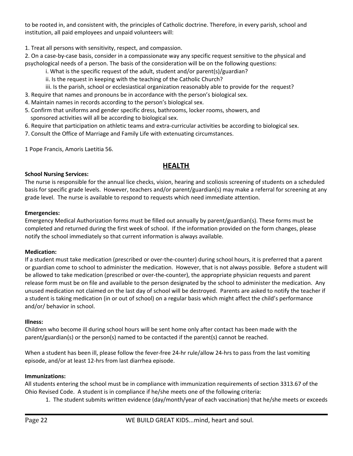to be rooted in, and consistent with, the principles of Catholic doctrine. Therefore, in every parish, school and institution, all paid employees and unpaid volunteers will:

1. Treat all persons with sensitivity, respect, and compassion.

2. On a case-by-case basis, consider in a compassionate way any specific request sensitive to the physical and psychological needs of a person. The basis of the consideration will be on the following questions:

- i. What is the specific request of the adult, student and/or parent(s)/guardian?
- ii. Is the request in keeping with the teaching of the Catholic Church?
- iii. Is the parish, school or ecclesiastical organization reasonably able to provide for the request?
- 3. Require that names and pronouns be in accordance with the person's biological sex.
- 4. Maintain names in records according to the person's biological sex.
- 5. Confirm that uniforms and gender specific dress, bathrooms, locker rooms, showers, and sponsored activities will all be according to biological sex.
- 6. Require that participation on athletic teams and extra-curricular activities be according to biological sex.
- 7. Consult the Office of Marriage and Family Life with extenuating circumstances.

1 Pope Francis, Amoris Laetitia 56.

# **HEALTH**

## <span id="page-21-0"></span>**School Nursing Services:**

The nurse is responsible for the annual lice checks, vision, hearing and scoliosis screening of students on a scheduled basis for specific grade levels. However, teachers and/or parent/guardian(s) may make a referral for screening at any grade level. The nurse is available to respond to requests which need immediate attention.

## **Emergencies:**

Emergency Medical Authorization forms must be filled out annually by parent/guardian(s). These forms must be completed and returned during the first week of school. If the information provided on the form changes, please notify the school immediately so that current information is always available.

## **Medication:**

If a student must take medication (prescribed or over-the-counter) during school hours, it is preferred that a parent or guardian come to school to administer the medication. However, that is not always possible. Before a student will be allowed to take medication (prescribed or over-the-counter), the appropriate physician requests and parent release form must be on file and available to the person designated by the school to administer the medication. Any unused medication not claimed on the last day of school will be destroyed. Parents are asked to notify the teacher if a student is taking medication (in or out of school) on a regular basis which might affect the child's performance and/or/ behavior in school.

## **Illness:**

Children who become ill during school hours will be sent home only after contact has been made with the parent/guardian(s) or the person(s) named to be contacted if the parent(s) cannot be reached.

When a student has been ill, please follow the fever-free 24-hr rule/allow 24-hrs to pass from the last vomiting episode, and/or at least 12-hrs from last diarrhea episode.

## **Immunizations:**

All students entering the school must be in compliance with immunization requirements of section 3313.67 of the Ohio Revised Code. A student is in compliance if he/she meets one of the following criteria:

1. The student submits written evidence (day/month/year of each vaccination) that he/she meets or exceeds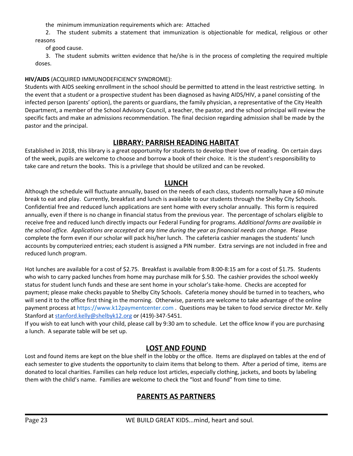the minimum immunization requirements which are: Attached

2. The student submits a statement that immunization is objectionable for medical, religious or other reasons

of good cause.

3. The student submits written evidence that he/she is in the process of completing the required multiple doses.

## **HIV/AIDS** (ACQUIRED IMMUNODEFICIENCY SYNDROME):

Students with AIDS seeking enrollment in the school should be permitted to attend in the least restrictive setting. In the event that a student or a prospective student has been diagnosed as having AIDS/HIV, a panel consisting of the infected person (parents' option), the parents or guardians, the family physician, a representative of the City Health Department, a member of the School Advisory Council, a teacher, the pastor, and the school principal will review the specific facts and make an admissions recommendation. The final decision regarding admission shall be made by the pastor and the principal.

# **LIBRARY: PARRISH READING HABITAT**

<span id="page-22-0"></span>Established in 2018, this library is a great opportunity for students to develop their love of reading. On certain days of the week, pupils are welcome to choose and borrow a book of their choice. It is the student's responsibility to take care and return the books. This is a privilege that should be utilized and can be revoked.

## **LUNCH**

<span id="page-22-1"></span>Although the schedule will fluctuate annually, based on the needs of each class, students normally have a 60 minute break to eat and play. Currently, breakfast and lunch is available to our students through the Shelby City Schools. Confidential free and reduced lunch applications are sent home with every scholar annually. This form is required annually, even if there is no change in financial status from the previous year. The percentage of scholars eligible to receive free and reduced lunch directly impacts our Federal Funding for programs. *Additional forms are available in* the school office. Applications are accepted at any time during the year as financial needs can change. Please complete the form even if our scholar will pack his/her lunch. The cafeteria cashier manages the students' lunch accounts by computerized entries; each student is assigned a PIN number. Extra servings are not included in free and reduced lunch program.

Hot lunches are available for a cost of \$2.75. Breakfast is available from 8:00-8:15 am for a cost of \$1.75. Students who wish to carry packed lunches from home may purchase milk for \$.50. The cashier provides the school weekly status for student lunch funds and these are sent home in your scholar's take-home. Checks are accepted for payment; please make checks payable to Shelby City Schools. Cafeteria money should be turned in to teachers, who will send it to the office first thing in the morning. Otherwise, parents are welcome to take advantage of the online payment process at [https://www.k12paymentcenter.com](https://www.k12paymentcenter.com/) . Questions may be taken to food service director Mr. Kelly Stanford at [stanford.kelly@shelbyk12.org](mailto:stanford.kelly@shelbyk12.org) or (419)-347-5451.

If you wish to eat lunch with your child, please call by 9:30 am to schedule. Let the office know if you are purchasing a lunch. A separate table will be set up.

# **LOST AND FOUND**

<span id="page-22-3"></span><span id="page-22-2"></span>Lost and found items are kept on the blue shelf in the lobby or the office. Items are displayed on tables at the end of each semester to give students the opportunity to claim items that belong to them. After a period of time, items are donated to local charities. Families can help reduce lost articles, especially clothing, jackets, and boots by labeling them with the child's name. Families are welcome to check the "lost and found" from time to time.

# **PARENTS AS PARTNERS**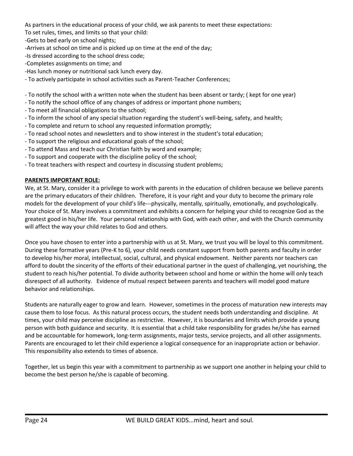As partners in the educational process of your child, we ask parents to meet these expectations:

To set rules, times, and limits so that your child:

-Gets to bed early on school nights;

-Arrives at school on time and is picked up on time at the end of the day;

-Is dressed according to the school dress code;

-Completes assignments on time; and

-Has lunch money or nutritional sack lunch every day.

- To actively participate in school activities such as Parent-Teacher Conferences;

- To notify the school with a written note when the student has been absent or tardy; ( kept for one year)

- To notify the school office of any changes of address or important phone numbers;
- To meet all financial obligations to the school;
- To inform the school of any special situation regarding the student's well-being, safety, and health;
- To complete and return to school any requested information promptly;
- To read school notes and newsletters and to show interest in the student's total education;
- To support the religious and educational goals of the school;
- To attend Mass and teach our Christian faith by word and example;
- To support and cooperate with the discipline policy of the school;
- To treat teachers with respect and courtesy in discussing student problems;

## **PARENTS IMPORTANT ROLE:**

We, at St. Mary, consider it a privilege to work with parents in the education of children because we believe parents are the primary educators of their children. Therefore, it is your right and your duty to become the primary role models for the development of your child's life---physically, mentally, spiritually, emotionally, and psychologically. Your choice of St. Mary involves a commitment and exhibits a concern for helping your child to recognize God as the greatest good in his/her life. Your personal relationship with God, with each other, and with the Church community will affect the way your child relates to God and others.

Once you have chosen to enter into a partnership with us at St. Mary, we trust you will be loyal to this commitment. During these formative years (Pre-K to 6), your child needs constant support from both parents and faculty in order to develop his/her moral, intellectual, social, cultural, and physical endowment. Neither parents nor teachers can afford to doubt the sincerity of the efforts of their educational partner in the quest of challenging, yet nourishing, the student to reach his/her potential. To divide authority between school and home or within the home will only teach disrespect of all authority. Evidence of mutual respect between parents and teachers will model good mature behavior and relationships.

Students are naturally eager to grow and learn. However, sometimes in the process of maturation new interests may cause them to lose focus. As this natural process occurs, the student needs both understanding and discipline. At times, your child may perceive discipline as restrictive. However, it is boundaries and limits which provide a young person with both guidance and security. It is essential that a child take responsibility for grades he/she has earned and be accountable for homework, long-term assignments, major tests, service projects, and all other assignments. Parents are encouraged to let their child experience a logical consequence for an inappropriate action or behavior. This responsibility also extends to times of absence.

Together, let us begin this year with a commitment to partnership as we support one another in helping your child to become the best person he/she is capable of becoming.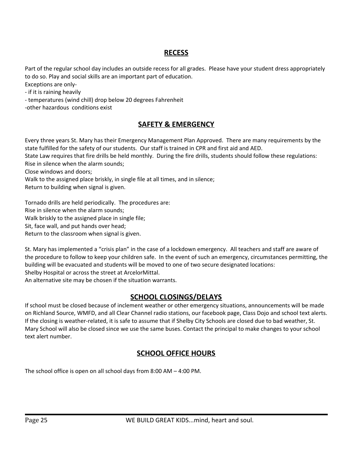# **RECESS**

<span id="page-24-0"></span>Part of the regular school day includes an outside recess for all grades. Please have your student dress appropriately to do so. Play and social skills are an important part of education.

Exceptions are only-

- if it is raining heavily

- temperatures (wind chill) drop below 20 degrees Fahrenheit

<span id="page-24-1"></span>-other hazardous conditions exist

# **SAFETY & EMERGENCY**

Every three years St. Mary has their Emergency Management Plan Approved. There are many requirements by the state fulfilled for the safety of our students. Our staff is trained in CPR and first aid and AED.

State Law requires that fire drills be held monthly. During the fire drills, students should follow these regulations: Rise in silence when the alarm sounds;

Close windows and doors;

Walk to the assigned place briskly, in single file at all times, and in silence;

Return to building when signal is given.

Tornado drills are held periodically. The procedures are:

Rise in silence when the alarm sounds;

Walk briskly to the assigned place in single file;

Sit, face wall, and put hands over head;

Return to the classroom when signal is given.

St. Mary has implemented a "crisis plan" in the case of a lockdown emergency. All teachers and staff are aware of the procedure to follow to keep your children safe. In the event of such an emergency, circumstances permitting, the building will be evacuated and students will be moved to one of two secure designated locations: Shelby Hospital or across the street at ArcelorMittal.

An alternative site may be chosen if the situation warrants.

# **SCHOOL CLOSINGS/DELAYS**

<span id="page-24-2"></span>If school must be closed because of inclement weather or other emergency situations, announcements will be made on Richland Source, WMFD, and all Clear Channel radio stations, our facebook page, Class Dojo and school text alerts. If the closing is weather-related, it is safe to assume that if Shelby City Schools are closed due to bad weather, St. Mary School will also be closed since we use the same buses. Contact the principal to make changes to your school text alert number.

# **SCHOOL OFFICE HOURS**

<span id="page-24-3"></span>The school office is open on all school days from 8:00 AM – 4:00 PM.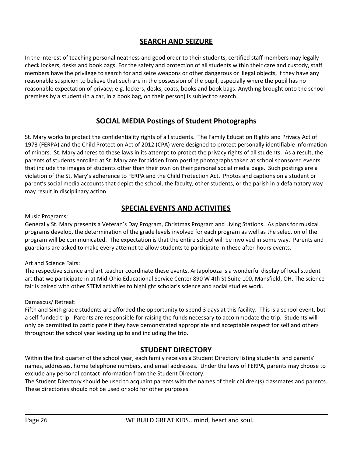# **SEARCH AND SEIZURE**

<span id="page-25-0"></span>In the interest of teaching personal neatness and good order to their students, certified staff members may legally check lockers, desks and book bags. For the safety and protection of all students within their care and custody, staff members have the privilege to search for and seize weapons or other dangerous or illegal objects, if they have any reasonable suspicion to believe that such are in the possession of the pupil, especially where the pupil has no reasonable expectation of privacy; e.g. lockers, desks, coats, books and book bags. Anything brought onto the school premises by a student (in a car, in a book bag, on their person) is subject to search.

# **SOCIAL MEDIA Postings of Student Photographs**

<span id="page-25-1"></span>St. Mary works to protect the confidentiality rights of all students. The Family Education Rights and Privacy Act of 1973 (FERPA) and the Child Protection Act of 2012 (CPA) were designed to protect personally identifiable information of minors. St. Mary adheres to these laws in its attempt to protect the privacy rights of all students. As a result, the parents of students enrolled at St. Mary are forbidden from posting photographs taken at school sponsored events that include the images of students other than their own on their personal social media page. Such postings are a violation of the St. Mary's adherence to FERPA and the Child Protection Act. Photos and captions on a student or parent's social media accounts that depict the school, the faculty, other students, or the parish in a defamatory way may result in disciplinary action.

# **SPECIAL EVENTS AND ACTIVITIES**

<span id="page-25-2"></span>Music Programs:

Generally St. Mary presents a Veteran's Day Program, Christmas Program and Living Stations. As plans for musical programs develop, the determination of the grade levels involved for each program as well as the selection of the program will be communicated. The expectation is that the entire school will be involved in some way. Parents and guardians are asked to make every attempt to allow students to participate in these after-hours events.

Art and Science Fairs:

The respective science and art teacher coordinate these events. Artapolooza is a wonderful display of local student art that we participate in at Mid-Ohio Educational Service Center 890 W 4th St Suite 100, Mansfield, OH. The science fair is paired with other STEM activities to highlight scholar's science and social studies work.

## Damascus/ Retreat:

Fifth and Sixth grade students are afforded the opportunity to spend 3 days at this facility. This is a school event, but a self-funded trip. Parents are responsible for raising the funds necessary to accommodate the trip. Students will only be permitted to participate if they have demonstrated appropriate and acceptable respect for self and others throughout the school year leading up to and including the trip.

# **STUDENT DIRECTORY**

<span id="page-25-3"></span>Within the first quarter of the school year, each family receives a Student Directory listing students' and parents' names, addresses, home telephone numbers, and email addresses. Under the laws of FERPA, parents may choose to exclude any personal contact information from the Student Directory.

The Student Directory should be used to acquaint parents with the names of their children(s) classmates and parents. These directories should not be used or sold for other purposes.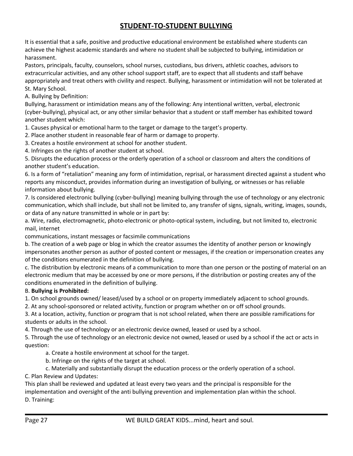# **STUDENT-TO-STUDENT BULLYING**

<span id="page-26-0"></span>It is essential that a safe, positive and productive educational environment be established where students can achieve the highest academic standards and where no student shall be subjected to bullying, intimidation or harassment.

Pastors, principals, faculty, counselors, school nurses, custodians, bus drivers, athletic coaches, advisors to extracurricular activities, and any other school support staff, are to expect that all students and staff behave appropriately and treat others with civility and respect. Bullying, harassment or intimidation will not be tolerated at St. Mary School.

A. Bullying by Definition:

Bullying, harassment or intimidation means any of the following: Any intentional written, verbal, electronic (cyber-bullying), physical act, or any other similar behavior that a student or staff member has exhibited toward another student which:

1. Causes physical or emotional harm to the target or damage to the target's property.

2. Place another student in reasonable fear of harm or damage to property.

3. Creates a hostile environment at school for another student.

4. Infringes on the rights of another student at school.

5. Disrupts the education process or the orderly operation of a school or classroom and alters the conditions of another student's education.

6. Is a form of "retaliation" meaning any form of intimidation, reprisal, or harassment directed against a student who reports any misconduct, provides information during an investigation of bullying, or witnesses or has reliable information about bullying.

7. Is considered electronic bullying (cyber-bullying) meaning bullying through the use of technology or any electronic communication, which shall include, but shall not be limited to, any transfer of signs, signals, writing, images, sounds, or data of any nature transmitted in whole or in part by:

a. Wire, radio, electromagnetic, photo-electronic or photo-optical system, including, but not limited to, electronic mail, internet

communications, instant messages or facsimile communications

b. The creation of a web page or blog in which the creator assumes the identity of another person or knowingly impersonates another person as author of posted content or messages, if the creation or impersonation creates any of the conditions enumerated in the definition of bullying.

c. The distribution by electronic means of a communication to more than one person or the posting of material on an electronic medium that may be accessed by one or more persons, if the distribution or posting creates any of the conditions enumerated in the definition of bullying.

## B. **Bullying is Prohibited:**

1. On school grounds owned/ leased/used by a school or on property immediately adjacent to school grounds.

2. At any school-sponsored or related activity, function or program whether on or off school grounds.

3. At a location, activity, function or program that is not school related, when there are possible ramifications for students or adults in the school.

4. Through the use of technology or an electronic device owned, leased or used by a school.

5. Through the use of technology or an electronic device not owned, leased or used by a school if the act or acts in question:

a. Create a hostile environment at school for the target.

b. Infringe on the rights of the target at school.

c. Materially and substantially disrupt the education process or the orderly operation of a school.

C. Plan Review and Updates:

This plan shall be reviewed and updated at least every two years and the principal is responsible for the implementation and oversight of the anti bullying prevention and implementation plan within the school. D. Training: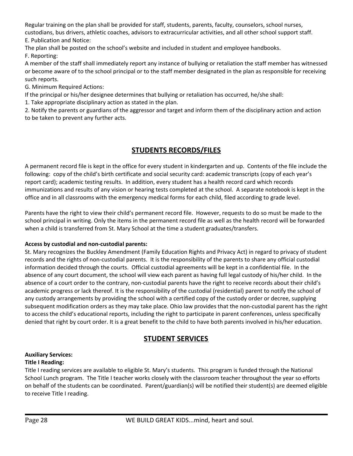Regular training on the plan shall be provided for staff, students, parents, faculty, counselors, school nurses, custodians, bus drivers, athletic coaches, advisors to extracurricular activities, and all other school support staff. E. Publication and Notice:

The plan shall be posted on the school's website and included in student and employee handbooks. F. Reporting:

A member of the staff shall immediately report any instance of bullying or retaliation the staff member has witnessed or become aware of to the school principal or to the staff member designated in the plan as responsible for receiving such reports.

G. Minimum Required Actions:

If the principal or his/her designee determines that bullying or retaliation has occurred, he/she shall:

1. Take appropriate disciplinary action as stated in the plan.

2. Notify the parents or guardians of the aggressor and target and inform them of the disciplinary action and action to be taken to prevent any further acts.

# **STUDENTS RECORDS/FILES**

<span id="page-27-0"></span>A permanent record file is kept in the office for every student in kindergarten and up. Contents of the file include the following: copy of the child's birth certificate and social security card: academic transcripts (copy of each year's report card); academic testing results. In addition, every student has a health record card which records immunizations and results of any vision or hearing tests completed at the school. A separate notebook is kept in the office and in all classrooms with the emergency medical forms for each child, filed according to grade level.

Parents have the right to view their child's permanent record file. However, requests to do so must be made to the school principal in writing. Only the items in the permanent record file as well as the health record will be forwarded when a child is transferred from St. Mary School at the time a student graduates/transfers.

# **Access by custodial and non-custodial parents:**

St. Mary recognizes the Buckley Amendment (Family Education Rights and Privacy Act) in regard to privacy of student records and the rights of non-custodial parents. It is the responsibility of the parents to share any official custodial information decided through the courts. Official custodial agreements will be kept in a confidential file. In the absence of any court document, the school will view each parent as having full legal custody of his/her child. In the absence of a court order to the contrary, non-custodial parents have the right to receive records about their child's academic progress or lack thereof. It is the responsibility of the custodial (residential) parent to notify the school of any custody arrangements by providing the school with a certified copy of the custody order or decree, supplying subsequent modification orders as they may take place. Ohio law provides that the non-custodial parent has the right to access the child's educational reports, including the right to participate in parent conferences, unless specifically denied that right by court order. It is a great benefit to the child to have both parents involved in his/her education.

# **STUDENT SERVICES**

#### <span id="page-27-1"></span>**Auxiliary Services: Title I Reading:**

Title I reading services are available to eligible St. Mary's students. This program is funded through the National School Lunch program. The Title I teacher works closely with the classroom teacher throughout the year so efforts on behalf of the students can be coordinated. Parent/guardian(s) will be notified their student(s) are deemed eligible to receive Title I reading.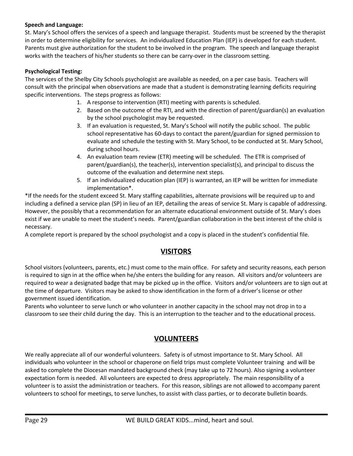## **Speech and Language:**

St. Mary's School offers the services of a speech and language therapist. Students must be screened by the therapist in order to determine eligibility for services. An individualized Education Plan (IEP) is developed for each student. Parents must give authorization for the student to be involved in the program. The speech and language therapist works with the teachers of his/her students so there can be carry-over in the classroom setting.

## **Psychological Testing:**

The services of the Shelby City Schools psychologist are available as needed, on a per case basis. Teachers will consult with the principal when observations are made that a student is demonstrating learning deficits requiring specific interventions. The steps progress as follows:

- 1. A response to intervention (RTI) meeting with parents is scheduled.
- 2. Based on the outcome of the RTI, and with the direction of parent/guardian(s) an evaluation by the school psychologist may be requested.
- 3. If an evaluation is requested, St. Mary's School will notify the public school. The public school representative has 60-days to contact the parent/guardian for signed permission to evaluate and schedule the testing with St. Mary School, to be conducted at St. Mary School, during school hours.
- 4. An evaluation team review (ETR) meeting will be scheduled. The ETR is comprised of parent/guardian(s), the teacher(s), intervention specialist(s), and principal to discuss the outcome of the evaluation and determine next steps.
- 5. If an individualized education plan (IEP) is warranted, an IEP will be written for immediate implementation\*.

\*If the needs for the student exceed St. Mary staffing capabilities, alternate provisions will be required up to and including a defined a service plan (SP) in lieu of an IEP, detailing the areas of service St. Mary is capable of addressing. However, the possibly that a recommendation for an alternate educational environment outside of St. Mary's does exist if we are unable to meet the student's needs. Parent/guardian collaboration in the best interest of the child is necessary.

<span id="page-28-0"></span>A complete report is prepared by the school psychologist and a copy is placed in the student's confidential file.

# **VISITORS**

School visitors (volunteers, parents, etc.) must come to the main office. For safety and security reasons, each person is required to sign in at the office when he/she enters the building for any reason. All visitors and/or volunteers are required to wear a designated badge that may be picked up in the office. Visitors and/or volunteers are to sign out at the time of departure. Visitors may be asked to show identification in the form of a driver's license or other government issued identification.

<span id="page-28-1"></span>Parents who volunteer to serve lunch or who volunteer in another capacity in the school may not drop in to a classroom to see their child during the day. This is an interruption to the teacher and to the educational process.

# **VOLUNTEERS**

We really appreciate all of our wonderful volunteers. Safety is of utmost importance to St. Mary School. All individuals who volunteer in the school or chaperone on field trips must complete Volunteer training and will be asked to complete the Diocesan mandated background check (may take up to 72 hours). Also signing a volunteer expectation form is needed. All volunteers are expected to dress appropriately. The main responsibility of a volunteer is to assist the administration or teachers. For this reason, siblings are not allowed to accompany parent volunteers to school for meetings, to serve lunches, to assist with class parties, or to decorate bulletin boards.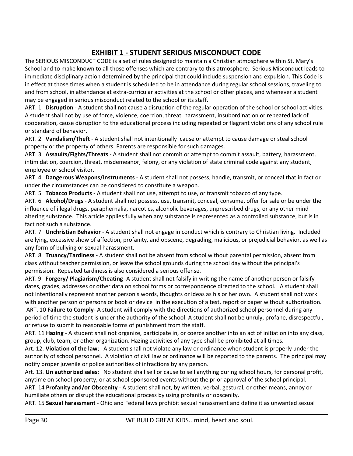# **EXHIBIT 1 - STUDENT SERIOUS MISCONDUCT CODE**

<span id="page-29-0"></span>The SERIOUS MISCONDUCT CODE is a set of rules designed to maintain a Christian atmosphere within St. Mary's School and to make known to all those offenses which are contrary to this atmosphere. Serious Misconduct leads to immediate disciplinary action determined by the principal that could include suspension and expulsion. This Code is in effect at those times when a student is scheduled to be in attendance during regular school sessions, traveling to and from school, in attendance at extra-curricular activities at the school or other places, and whenever a student may be engaged in serious misconduct related to the school or its staff.

ART. 1 **Disruption** - A student shall not cause a disruption of the regular operation of the school or school activities. A student shall not by use of force, violence, coercion, threat, harassment, insubordination or repeated lack of cooperation, cause disruption to the educational process including repeated or flagrant violations of any school rule or standard of behavior.

ART. 2 **Vandalism/Theft** - A student shall not intentionally cause or attempt to cause damage or steal school property or the property of others. Parents are responsible for such damages.

ART. 3 **Assaults/Fights/Threats** - A student shall not commit or attempt to commit assault, battery, harassment, intimidation, coercion, threat, misdemeanor, felony, or any violation of state criminal code against any student, employee or school visitor.

ART. 4 **Dangerous Weapons/Instruments** - A student shall not possess, handle, transmit, or conceal that in fact or under the circumstances can be considered to constitute a weapon.

ART. 5 **Tobacco Products** - A student shall not use, attempt to use, or transmit tobacco of any type.

ART. 6 **Alcohol/Drugs** - A student shall not possess, use, transmit, conceal, consume, offer for sale or be under the influence of illegal drugs, paraphernalia, narcotics, alcoholic beverages, unprescribed drugs, or any other mind altering substance. This article applies fully when any substance is represented as a controlled substance, but is in fact not such a substance.

ART. 7 **Unchristian Behavior** - A student shall not engage in conduct which is contrary to Christian living. Included are lying, excessive show of affection, profanity, and obscene, degrading, malicious, or prejudicial behavior, as well as any form of bullying or sexual harassment.

ART. 8 **Truancy/Tardiness** - A student shall not be absent from school without parental permission, absent from class without teacher permission, or leave the school grounds during the school day without the principal's permission. Repeated tardiness is also considered a serious offense.

ART. 9 **Forgery/ Plagiarism/Cheating** -A student shall not falsify in writing the name of another person or falsify dates, grades, addresses or other data on school forms or correspondence directed to the school. A student shall not intentionally represent another person's words, thoughts or ideas as his or her own. A student shall not work with another person or persons or book or device in the execution of a test, report or paper without authorization.

ART. 10 **Failure to Comply-** A student will comply with the directions of authorized school personnel during any period of time the student is under the authority of the school. A student shall not be unruly, profane, disrespectful, or refuse to submit to reasonable forms of punishment from the staff.

ART. 11 **Hazing** - A student shall not organize, participate in, or coerce another into an act of initiation into any class, group, club, team, or other organization. Hazing activities of any type shall be prohibited at all times.

Art. 12. **Violation of the law**; A student shall not violate any law or ordinance when student is properly under the authority of school personnel. A violation of civil law or ordinance will be reported to the parents. The principal may notify proper juvenile or police authorities of infractions by any person.

Art. 13. **Un authorized sales**: No student shall sell or cause to sell anything during school hours, for personal profit, anytime on school property, or at school-sponsored events without the prior approval of the school principal.

ART. 14 **Profanity and/or Obscenity** - A student shall not, by written, verbal, gestural, or other means, annoy or humiliate others or disrupt the educational process by using profanity or obscenity.

ART. 15 **Sexual harassment** - Ohio and Federal laws prohibit sexual harassment and define it as unwanted sexual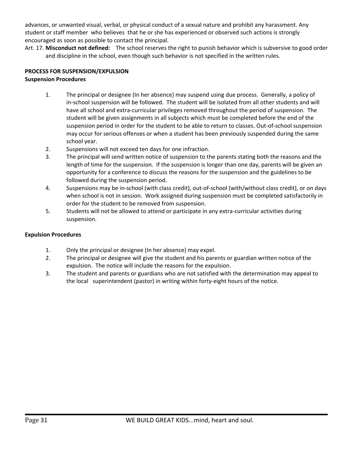advances, or unwanted visual, verbal, or physical conduct of a sexual nature and prohibit any harassment. Any student or staff member who believes that he or she has experienced or observed such actions is strongly encouraged as soon as possible to contact the principal.

Art. 17. **Misconduct not defined:** The school reserves the right to punish behavior which is subversive to good order and discipline in the school, even though such behavior is not specified in the written rules.

## **PROCESS FOR SUSPENSION/EXPULSION**

## **Suspension Procedures**

- 1. The principal or designee (In her absence) may suspend using due process. Generally, a policy of in-school suspension will be followed. The student will be isolated from all other students and will have all school and extra-curricular privileges removed throughout the period of suspension. The student will be given assignments in all subjects which must be completed before the end of the suspension period in order for the student to be able to return to classes. Out-of-school suspension may occur for serious offenses or when a student has been previously suspended during the same school year.
- 2. Suspensions will not exceed ten days for one infraction.
- 3. The principal will send written notice of suspension to the parents stating both the reasons and the length of time for the suspension. If the suspension is longer than one day, parents will be given an opportunity for a conference to discuss the reasons for the suspension and the guidelines to be followed during the suspension period.
- 4. Suspensions may be in-school (with class credit), out-of-school (with/without class credit), or on days when school is not in session. Work assigned during suspension must be completed satisfactorily in order for the student to be removed from suspension.
- 5. Students will not be allowed to attend or participate in any extra-curricular activities during suspension.

## **Expulsion Procedures**

- 1. Only the principal or designee (In her absence) may expel.
- 2. The principal or designee will give the student and his parents or guardian written notice of the expulsion. The notice will include the reasons for the expulsion.
- 3. The student and parents or guardians who are not satisfied with the determination may appeal to the local superintendent (pastor) in writing within forty-eight hours of the notice.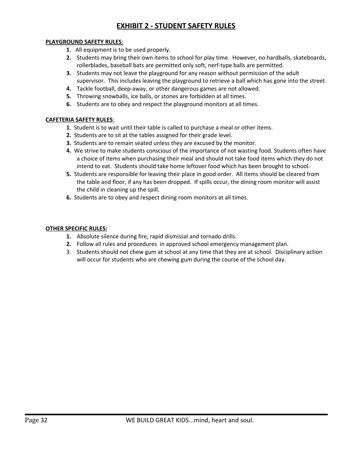# **EXHIBIT 2 - STUDENT SAFETY RULES**

#### <span id="page-31-0"></span>**PLAYGROUND SAFETY RULES**:

- **1**. All equipment is to be used properly.
- **2.** Students may bring their own items to school for play time. However, no hardballs, skateboards, rollerblades, baseball bats are permitted only soft, nerf-type balls are permitted.
- **3.** Students may not leave the playground for any reason without permission of the adult supervisor. This includes leaving the playground to retrieve a ball which has gone into the street.
- **4.** Tackle football, deep-away, or other dangerous games are not allowed.
- **5.** Throwing snowballs, ice balls, or stones are forbidden at all times.
- **6.** Students are to obey and respect the playground monitors at all times.

#### **CAFETERIA SAFETY RULES**:

- **1**. Student is to wait until their table is called to purchase a meal or other items.
- **2.** Students are to sit at the tables assigned for their grade level.
- **3.** Students are to remain seated unless they are excused by the monitor.
- **4.** We strive to make students conscious of the importance of not wasting food. Students often have a choice of items when purchasing their meal and should not take food items which they do not intend to eat. Students should take home leftover food which has been brought to school.
- **5.** Students are responsible for leaving their place in good order. All items should be cleared from the table and floor, if any has been dropped. If spills occur, the dining room monitor will assist the child in cleaning up the spill.
- **6.** Students are to obey and respect dining room monitors at all times.

#### **OTHER SPECIFIC RULES:**

- **1.** Absolute silence during fire, rapid dismissal and tornado drills.
- **2.** Follow all rules and procedures in approved school emergency management plan.
- 3. Students should not chew gum at school at any time that they are at school. Disciplinary action will occur for students who are chewing gum during the course of the school day.